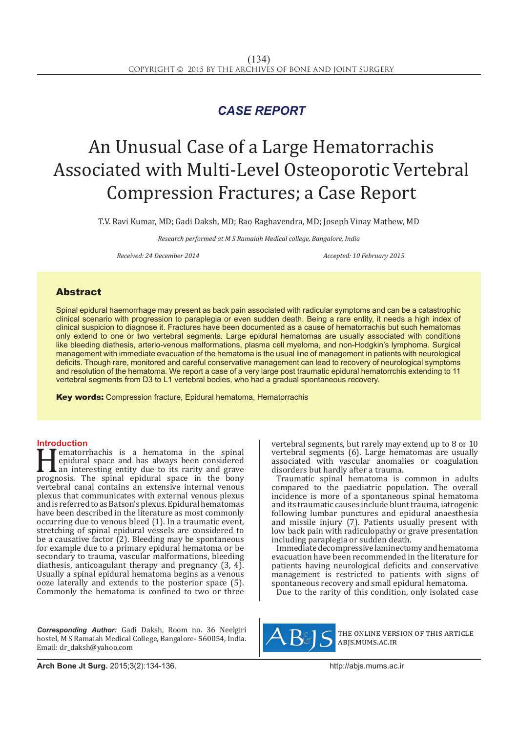## *CASE REPORT*

# An Unusual Case of a Large Hematorrachis Associated with Multi-Level Osteoporotic Vertebral Compression Fractures; a Case Report

T.V. Ravi Kumar, MD; Gadi Daksh, MD; Rao Raghavendra, MD; Joseph Vinay Mathew, MD

*Research performed at M S Ramaiah Medical college, Bangalore, India*

*Received: 24 December 2014 Accepted: 10 February 2015*

### Abstract

Spinal epidural haemorrhage may present as back pain associated with radicular symptoms and can be a catastrophic clinical scenario with progression to paraplegia or even sudden death. Being a rare entity, it needs a high index of clinical suspicion to diagnose it. Fractures have been documented as a cause of hematorrachis but such hematomas only extend to one or two vertebral segments. Large epidural hematomas are usually associated with conditions like bleeding diathesis, arterio-venous malformations, plasma cell myeloma, and non-Hodgkin's lymphoma. Surgical management with immediate evacuation of the hematoma is the usual line of management in patients with neurological deficits. Though rare, monitored and careful conservative management can lead to recovery of neurological symptoms and resolution of the hematoma. We report a case of a very large post traumatic epidural hematorrchis extending to 11 vertebral segments from D3 to L1 vertebral bodies, who had a gradual spontaneous recovery.

Key words: Compression fracture, Epidural hematoma, Hematorrachis

**Introduction**<br>**T T** ematorrhachis is a hematoma in the spinal **Hematorrhachis is a hematoma in the spinal epidural space and has always been considered an interesting entity due to its rarity and grave prognosis. The spinal epidural space in the bony vertebral cannot contains an exte** epidural space and has always been considered an interesting entity due to its rarity and grave prognosis. The spinal epidural space in the bony vertebral canal contains an extensive internal venous plexus that communicates with external venous plexus and is referred to as Batson's plexus. Epidural hematomas have been described in the literature as most commonly occurring due to venous bleed (1). In a traumatic event, stretching of spinal epidural vessels are considered to be a causative factor  $(2)$ . Bleeding may be spontaneous for example due to a primary epidural hematoma or be secondary to trauma, vascular malformations, bleeding diathesis, anticoagulant therapy and pregnancy (3, 4). Usually a spinal epidural hematoma begins as a venous ooze laterally and extends to the posterior space (5). Commonly the hematoma is confined to two or three

*Corresponding Author:* Gadi Daksh, Room no. 36 Neelgiri hostel, M S Ramaiah Medical College, Bangalore- 560054, India. Email: dr\_daksh@yahoo.com

vertebral segments, but rarely may extend up to 8 or 10 vertebral segments (6). Large hematomas are usually associated with vascular anomalies or coagulation disorders but hardly after a trauma.

Traumatic spinal hematoma is common in adults compared to the paediatric population. The overall incidence is more of a spontaneous spinal hematoma and its traumatic causes include blunt trauma, iatrogenic following lumbar punctures and epidural anaesthesia and missile injury (7). Patients usually present with low back pain with radiculopathy or grave presentation including paraplegia or sudden death.

Immediate decompressive laminectomy and hematoma evacuation have been recommended in the literature for patients having neurological deficits and conservative management is restricted to patients with signs of spontaneous recovery and small epidural hematoma.

Due to the rarity of this condition, only isolated case



the online version of this article abjs.mums.ac.ir

**Arch Bone Jt Surg.** 2015;3(2):134-136.http://abjs.mums.ac.ir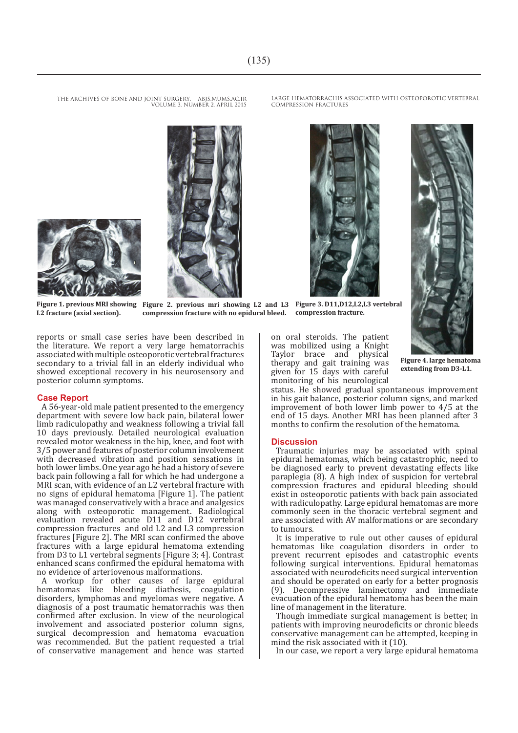LARGE HEMATORRACHIS ASSOCIATED WITH OSTEOPOROTIC VERTEBRAL COMPRESSION FRACTURES





THE ARCHIVES OF BONE AND JOINT SURGERY. ABJS.MUMS.AC.IR VOLUME 3. NUMBER 2. APRIL 2015





**L2 fracture (axial section).**

**Figure 1. previous MRI showing Figure 2. previous mri showing L2 and L3 Figure 3. D11,D12,L2,L3 vertebral compression fracture with no epidural bleed. compression fracture.**

reports or small case series have been described in the literature. We report a very large hematorrachis associated with multiple osteoporotic vertebral fractures secondary to a trivial fall in an elderly individual who showed exceptional recovery in his neurosensory and posterior column symptoms.

### **Case Report**

A 56-year-old male patient presented to the emergency department with severe low back pain, bilateral lower limb radiculopathy and weakness following a trivial fall 10 days previously. Detailed neurological evaluation revealed motor weakness in the hip, knee, and foot with 3/5 power and features of posterior column involvement with decreased vibration and position sensations in both lower limbs. One year ago he had a history of severe back pain following a fall for which he had undergone a MRI scan, with evidence of an L2 vertebral fracture with no signs of epidural hematoma [Figure 1]. The patient was managed conservatively with a brace and analgesics along with osteoporotic management. Radiological evaluation revealed acute D11 and D12 vertebral compression fractures and old L2 and L3 compression fractures [Figure 2]. The MRI scan confirmed the above fractures with a large epidural hematoma extending from D3 to L1 vertebral segments [Figure 3; 4]. Contrast enhanced scans confirmed the epidural hematoma with no evidence of arteriovenous malformations.

A workup for other causes of large epidural hematomas like bleeding diathesis, coagulation disorders, lymphomas and myelomas were negative. A diagnosis of a post traumatic hematorrachis was then confirmed after exclusion. In view of the neurological involvement and associated posterior column signs, surgical decompression and hematoma evacuation was recommended. But the patient requested a trial of conservative management and hence was started on oral steroids. The patient was mobilized using a Knight Taylor brace and physical therapy and gait training was given for 15 days with careful monitoring of his neurological

**Figure 4. large hematoma extending from D3-L1.**

status. He showed gradual spontaneous improvement in his gait balance, posterior column signs, and marked improvement of both lower limb power to 4/5 at the end of 15 days. Another MRI has been planned after 3 months to confirm the resolution of the hematoma.

### **Discussion**

Traumatic injuries may be associated with spinal epidural hematomas, which being catastrophic, need to be diagnosed early to prevent devastating effects like paraplegia (8). A high index of suspicion for vertebral compression fractures and epidural bleeding should exist in osteoporotic patients with back pain associated with radiculopathy. Large epidural hematomas are more commonly seen in the thoracic vertebral segment and are associated with AV malformations or are secondary to tumours.

It is imperative to rule out other causes of epidural hematomas like coagulation disorders in order to prevent recurrent episodes and catastrophic events following surgical interventions. Epidural hematomas associated with neurodeficits need surgical intervention and should be operated on early for a better prognosis (9). Decompressive laminectomy and immediate evacuation of the epidural hematoma has been the main line of management in the literature.

Though immediate surgical management is better, in patients with improving neurodeficits or chronic bleeds conservative management can be attempted, keeping in mind the risk associated with it (10).

In our case, we report a very large epidural hematoma